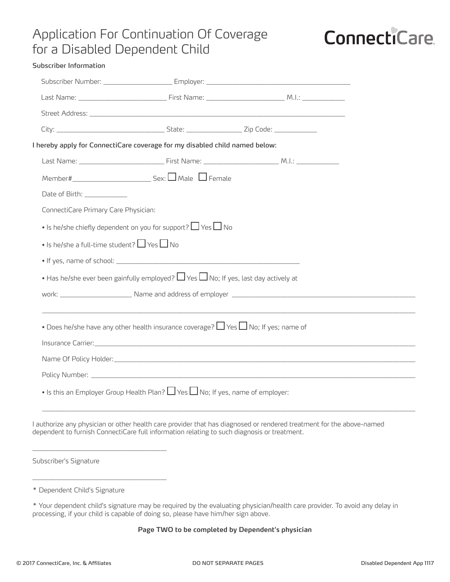### Application For Continuation Of Coverage for a Disabled Dependent Child

# **ConnectiCare**

| Subscriber Information                                                                        |                                                                                                                                                                                                                                |  |
|-----------------------------------------------------------------------------------------------|--------------------------------------------------------------------------------------------------------------------------------------------------------------------------------------------------------------------------------|--|
|                                                                                               |                                                                                                                                                                                                                                |  |
|                                                                                               |                                                                                                                                                                                                                                |  |
|                                                                                               | Street Address: University of the Community of the Community of the Community of the Community of the Community of the Community of the Community of the Community of the Community of the Community of the Community of the C |  |
|                                                                                               |                                                                                                                                                                                                                                |  |
| I hereby apply for ConnectiCare coverage for my disabled child named below:                   |                                                                                                                                                                                                                                |  |
|                                                                                               |                                                                                                                                                                                                                                |  |
|                                                                                               |                                                                                                                                                                                                                                |  |
| Date of Birth: ____________                                                                   |                                                                                                                                                                                                                                |  |
| ConnectiCare Primary Care Physician:                                                          |                                                                                                                                                                                                                                |  |
| • Is he/she chiefly dependent on you for support? $\Box$ Yes $\Box$ No                        |                                                                                                                                                                                                                                |  |
| • Is he/she a full-time student? $\Box$ Yes $\Box$ No                                         |                                                                                                                                                                                                                                |  |
|                                                                                               |                                                                                                                                                                                                                                |  |
| • Has he/she ever been gainfully employed? $\Box$ Yes $\Box$ No; If yes, last day actively at |                                                                                                                                                                                                                                |  |
|                                                                                               |                                                                                                                                                                                                                                |  |
|                                                                                               |                                                                                                                                                                                                                                |  |
| • Does he/she have any other health insurance coverage? $\Box$ Yes $\Box$ No; If yes; name of |                                                                                                                                                                                                                                |  |
|                                                                                               |                                                                                                                                                                                                                                |  |
|                                                                                               |                                                                                                                                                                                                                                |  |
|                                                                                               |                                                                                                                                                                                                                                |  |
| • Is this an Employer Group Health Plan? $\Box$ Yes $\Box$ No; If yes, name of employer:      |                                                                                                                                                                                                                                |  |
|                                                                                               |                                                                                                                                                                                                                                |  |

I authorize any physician or other health care provider that has diagnosed or rendered treatment for the above-named dependent to furnish ConnectiCare full information relating to such diagnosis or treatment.

Subscriber's Signature

\_\_\_\_\_\_\_\_\_\_\_\_\_\_\_\_\_\_\_\_\_\_\_\_\_\_\_\_\_\_\_\_\_\_\_\_\_\_\_\_\_

\_\_\_\_\_\_\_\_\_\_\_\_\_\_\_\_\_\_\_\_\_\_\_\_\_\_\_\_\_\_\_\_\_\_\_\_\_\_\_\_\_

#### **Page TWO to be completed by Dependent's physician**

<sup>\*</sup> Dependent Child's Signature

<sup>\*</sup> Your dependent child's signature may be required by the evaluating physician/health care provider. To avoid any delay in processing, if your child is capable of doing so, please have him/her sign above.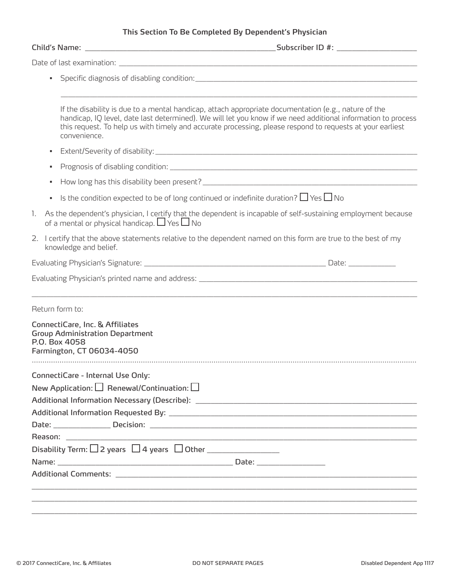#### **This Section To Be Completed By Dependent's Physician**

|              | If the disability is due to a mental handicap, attach appropriate documentation (e.g., nature of the<br>handicap, IQ level, date last determined). We will let you know if we need additional information to process<br>this request. To help us with timely and accurate processing, please respond to requests at your earliest<br>convenience. |
|--------------|---------------------------------------------------------------------------------------------------------------------------------------------------------------------------------------------------------------------------------------------------------------------------------------------------------------------------------------------------|
|              |                                                                                                                                                                                                                                                                                                                                                   |
|              |                                                                                                                                                                                                                                                                                                                                                   |
|              |                                                                                                                                                                                                                                                                                                                                                   |
|              | Is the condition expected to be of long continued or indefinite duration? $\Box$ Yes $\Box$ No                                                                                                                                                                                                                                                    |
| $\mathbf{L}$ | As the dependent's physician, I certify that the dependent is incapable of self-sustaining employment because<br>of a mental or physical handicap. $\Box$ Yes $\Box$ No                                                                                                                                                                           |
|              | 2. I certify that the above statements relative to the dependent named on this form are true to the best of my<br>knowledge and belief.                                                                                                                                                                                                           |
|              |                                                                                                                                                                                                                                                                                                                                                   |
|              |                                                                                                                                                                                                                                                                                                                                                   |
|              | Return form to:                                                                                                                                                                                                                                                                                                                                   |
|              | ConnectiCare, Inc. & Affiliates<br><b>Group Administration Department</b><br>P.O. Box 4058<br>Farmington, CT 06034-4050                                                                                                                                                                                                                           |
|              | ConnectiCare - Internal Use Only:                                                                                                                                                                                                                                                                                                                 |
|              | New Application: $\square$ Renewal/Continuation: $\square$                                                                                                                                                                                                                                                                                        |
|              |                                                                                                                                                                                                                                                                                                                                                   |
|              |                                                                                                                                                                                                                                                                                                                                                   |
|              |                                                                                                                                                                                                                                                                                                                                                   |
|              |                                                                                                                                                                                                                                                                                                                                                   |
|              | Disability Term: $\Box$ 2 years $\Box$ 4 years $\Box$ Other ___________________________                                                                                                                                                                                                                                                           |
|              |                                                                                                                                                                                                                                                                                                                                                   |
|              |                                                                                                                                                                                                                                                                                                                                                   |
|              |                                                                                                                                                                                                                                                                                                                                                   |
|              |                                                                                                                                                                                                                                                                                                                                                   |
|              |                                                                                                                                                                                                                                                                                                                                                   |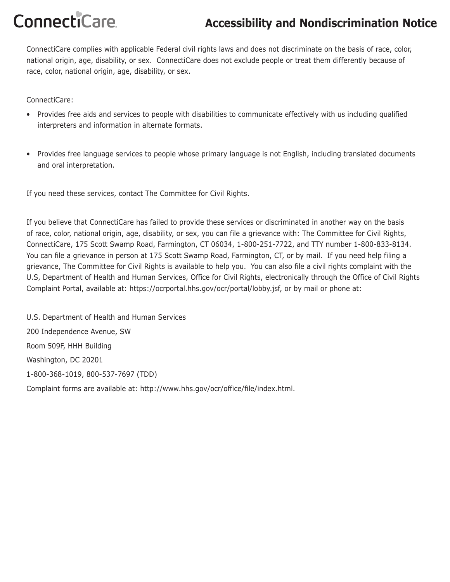## **ConnectiCare**

### **Accessibility and Nondiscrimination Notice**

ConnectiCare complies with applicable Federal civil rights laws and does not discriminate on the basis of race, color, national origin, age, disability, or sex. ConnectiCare does not exclude people or treat them differently because of race, color, national origin, age, disability, or sex.

ConnectiCare:

- Provides free aids and services to people with disabilities to communicate effectively with us including qualified interpreters and information in alternate formats.
- Provides free language services to people whose primary language is not English, including translated documents and oral interpretation.

If you need these services, contact The Committee for Civil Rights.

If you believe that ConnectiCare has failed to provide these services or discriminated in another way on the basis of race, color, national origin, age, disability, or sex, you can file a grievance with: The Committee for Civil Rights, ConnectiCare, 175 Scott Swamp Road, Farmington, CT 06034, 1-800-251-7722, and TTY number 1-800-833-8134. You can file a grievance in person at 175 Scott Swamp Road, Farmington, CT, or by mail. If you need help filing a grievance, The Committee for Civil Rights is available to help you. You can also file a civil rights complaint with the U.S, Department of Health and Human Services, Office for Civil Rights, electronically through the Office of Civil Rights Complaint Portal, available at: https://ocrportal.hhs.gov/ocr/portal/lobby.jsf, or by mail or phone at:

U.S. Department of Health and Human Services 200 Independence Avenue, SW Room 509F, HHH Building Washington, DC 20201 1-800-368-1019, 800-537-7697 (TDD) Complaint forms are available at: http://www.hhs.gov/ocr/office/file/index.html.